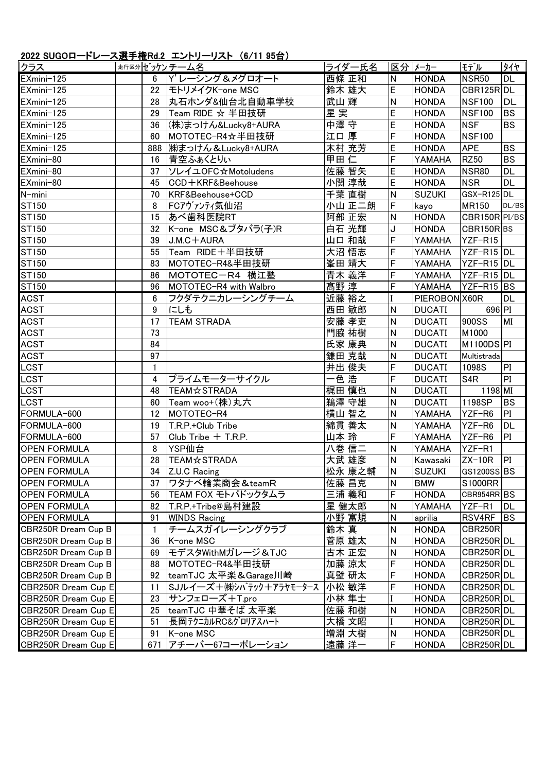## 2022 SUGOロードレース選手権Rd.2 エントリーリスト (6/11 95台)

| クラス                 |              | 走行区分ゼッケントチーム名          | ライダー氏名 |   | 区分  メーカー      | モデル             | タイヤ        |
|---------------------|--------------|------------------------|--------|---|---------------|-----------------|------------|
| EXmini-125          | 6            | Y' レーシング&メグロオート        | 西條 正和  | N | <b>HONDA</b>  | <b>NSR50</b>    | <b>DL</b>  |
| EXmini-125          | 22           | モトリメイクK-one MSC        | 鈴木 雄大  | E | <b>HONDA</b>  | CBR125R DL      |            |
| EXmini-125          | 28           | 丸石ホンダ&仙台北自動車学校         | 武山 輝   | N | <b>HONDA</b>  | <b>NSF100</b>   | DL         |
| EXmini-125          | 29           | Team RIDE ☆ 半田技研       | 星実     | E | <b>HONDA</b>  | <b>NSF100</b>   | <b>BS</b>  |
| EXmini-125          | 36           | (株)まっけん&Lucky8+AURA    | 中澤守守   | E | HONDA         | <b>NSF</b>      | <b>BS</b>  |
| EXmini-125          | 60           | MOTOTEC-R4☆半田技研        | 江口 厚   | F | <b>HONDA</b>  | <b>NSF100</b>   |            |
| EXmini-125          | 888          | (株)まっけん & Lucky8+AURA  | 木村 充芳  | E | <b>HONDA</b>  | <b>APE</b>      | <b>BS</b>  |
| EXmini-80           | 16           | 青空ふぁくとりぃ               | 甲田仁    | F | YAMAHA        | <b>RZ50</b>     | <b>BS</b>  |
| EXmini-80           | 37           | ソレイユOFC☆Motoludens     | 佐藤 智矢  | E | <b>HONDA</b>  | <b>NSR80</b>    | <b>DL</b>  |
| EXmini-80           | 45           | CCD+KRF&Beehouse       | 小関 淳哉  | E | <b>HONDA</b>  | <b>NSR</b>      | <b>DL</b>  |
| N-mini              | 70           | KRF&Beehouse+CCD       | 千葉 直樹  | N | <b>SUZUKI</b> | GSX-R125DL      |            |
| ST150               | 8            | FCアヴァンティ気仙沼            | 小山 正二朗 | F | kayo          | <b>MR150</b>    | DL/BS      |
| ST150               | 15           | あべ歯科医院RT               | 阿部 正宏  | N | <b>HONDA</b>  | CBR150R PI/BS   |            |
| ST150               | 32           | K-one MSC&ブタバラ(子)R     | 白石 光輝  | J | <b>HONDA</b>  | CBR150RBS       |            |
| ST150               | 39           | J.M.C+AURA             | 山口 和哉  | F | YAMAHA        | YZF-R15         |            |
| ST150               | 55           | Team RIDE+半田技研         | 大沼 悟志  | F | YAMAHA        | YZF-R15 DL      |            |
| ST150               | 83           | MOTOTEC-R4&半田技研        | 峯田 靖大  | F | YAMAHA        | YZF-R15 DL      |            |
| ST150               | 86           | MOTOTEC-R4 横江塾         | 青木 義洋  | F | YAMAHA        | YZF-R15 DL      |            |
| ST150               | 96           | MOTOTEC-R4 with Walbro | 髙野淳    | F | YAMAHA        | YZF-R15 BS      |            |
| <b>ACST</b>         | 6            | フクダテクニカレーシングチーム        | 近藤 裕之  |   | PIEROBON X60R |                 | <b>DL</b>  |
| <b>ACST</b>         | 9            | にしも                    | 西田 敏郎  | N | <b>DUCATI</b> | 696 PI          |            |
| <b>ACST</b>         | 17           | <b>TEAM STRADA</b>     | 安藤 孝吏  | N | <b>DUCATI</b> | 900SS           | MI         |
| <b>ACST</b>         | 73           |                        | 門脇 祐樹  | N | <b>DUCATI</b> | M1000           |            |
| <b>ACST</b>         | 84           |                        | 氏家 康典  | N | <b>DUCATI</b> | M1100DSPI       |            |
| <b>ACST</b>         | 97           |                        | 鎌田 克哉  | N | <b>DUCATI</b> | Multistrada     |            |
| LCST                | $\mathbf{1}$ |                        | 井出 俊夫  | F | <b>DUCATI</b> | 1098S           | PI         |
| LCST                | 4            | プライムモーターサイクル           | -色 浩   | F | <b>DUCATI</b> | S <sub>4R</sub> | PI         |
| LCST                | 48           | <b>TEAM☆STRADA</b>     | 梶田 慎也  | N | <b>DUCATI</b> | 1198 MI         |            |
| LCST                | 60           | Team woo+(株)丸六         | 鵜澤 守雄  | N | <b>DUCATI</b> | 1198SP          | <b>BS</b>  |
| FORMULA-600         | 12           | MOTOTEC-R4             | 横山 智之  | N | YAMAHA        | YZF-R6          | PI         |
| FORMULA-600         | 19           | T.R.P.+Club Tribe      | 綿貫 善太  | N | <b>YAMAHA</b> | YZF-R6          | <b>DL</b>  |
| FORMULA-600         | 57           | Club Tribe + T.R.P.    | 山本 玲   | F | YAMAHA        | YZF-R6          | PI         |
| <b>OPEN FORMULA</b> | 8            | YSP仙台                  | 八巻 信二  | N | YAMAHA        | YZF-R1          |            |
| <b>OPEN FORMULA</b> | 28           | <b>TEAM☆STRADA</b>     | 大武 雄彦  | N | Kawasaki      | $ZX-10R$        | PI         |
| <b>OPEN FORMULA</b> | 34           | Z.U.C Racing           | 松永 康之輔 | N | <b>SUZUKI</b> | GS1200SS BS     |            |
| <b>OPEN FORMULA</b> | 37           | ワタナベ輪業商会 & teamR       | 佐藤 昌克  | N | <b>BMW</b>    | S1000RR         |            |
| <b>OPEN FORMULA</b> | 56           | TEAM FOX モトパドックタムラ     | 三浦 義和  | F | <b>HONDA</b>  | CBR954RR BS     |            |
| <b>OPEN FORMULA</b> | 82           | T.R.P.+Tribe@島村建設      | 星 健太郎  | N | YAMAHA        | YZF-R1          | DL         |
| <b>OPEN FORMULA</b> | 91           | <b>WINDS Racing</b>    | 小野 富規  | N | aprilia       | RSV4RF          | <b>IBS</b> |
| CBR250R Dream Cup B | 1            | チームスガイレーシングクラブ         | 鈴木 真   | N | <b>HONDA</b>  | <b>CBR250R</b>  |            |
| CBR250R Dream Cup B | 36           | K-one MSC              | 菅原 雄太  | N | <b>HONDA</b>  | CBR250R DL      |            |
| CBR250R Dream Cup B | 69           | モデスタWithMガレージ&TJC      | 古木 正宏  | Ν | <b>HONDA</b>  | CBR250R DL      |            |
| CBR250R Dream Cup B | 88           | MOTOTEC-R4&半田技研        | 加藤 涼太  | F | <b>HONDA</b>  | CBR250R DL      |            |
| CBR250R Dream Cup B | 92           | teamTJC 太平楽&Garage川崎   | 真壁 研太  | F | <b>HONDA</b>  | CBR250R DL      |            |
| CBR250R Dream Cup E | 11           | SJルイ―ズ+㈱シバテック+アラヤモータース | 小松 敏洋  | F | <b>HONDA</b>  | CBR250R DL      |            |
| CBR250R Dream Cup E | 23           | サンフェローズ+T.pro          | 小林 隼士  |   | <b>HONDA</b>  | CBR250R DL      |            |
| CBR250R Dream Cup E | 25           | teamTJC 中華そば 太平楽       | 佐藤 和樹  | N | <b>HONDA</b>  | CBR250R DL      |            |
| CBR250R Dream Cup E | 51           | 長岡テクニカルRC&グロリアスハート     | 大橋 文昭  |   | <b>HONDA</b>  | CBR250R DL      |            |
| CBR250R Dream Cup E | 91           | K-one MSC              | 増淵 大樹  | N | <b>HONDA</b>  | CBR250R DL      |            |
| CBR250R Dream Cup E | 671          | アチーバー67コーポレーション        | 遠藤 洋一  | F | <b>HONDA</b>  | CBR250R DL      |            |